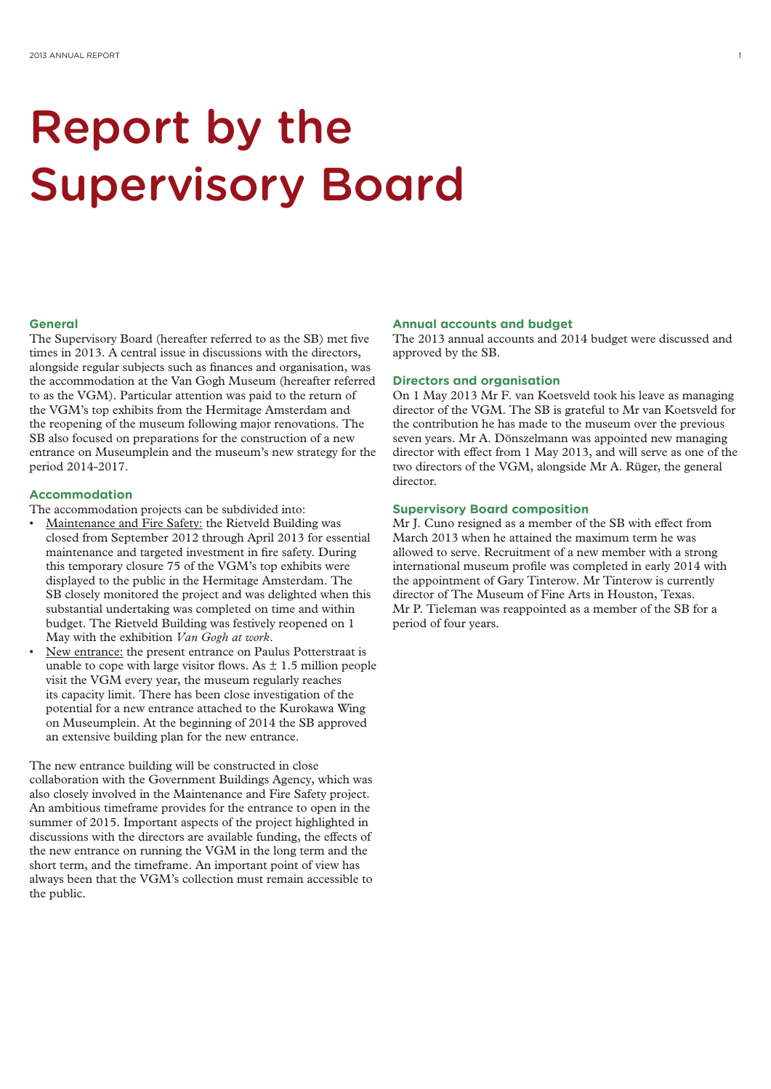# Report by the Supervisory Board

### **General**

The Supervisory Board (hereafter referred to as the SB) met five times in 2013. A central issue in discussions with the directors, alongside regular subjects such as finances and organisation, was the accommodation at the Van Gogh Museum (hereafter referred to as the VGM). Particular attention was paid to the return of the VGM's top exhibits from the Hermitage Amsterdam and the reopening of the museum following major renovations. The SB also focused on preparations for the construction of a new entrance on Museumplein and the museum's new strategy for the period 2014-2017.

#### **Accommodation**

The accommodation projects can be subdivided into:

- Maintenance and Fire Safety: the Rietveld Building was closed from September 2012 through April 2013 for essential maintenance and targeted investment in fire safety. During this temporary closure 75 of the VGM's top exhibits were displayed to the public in the Hermitage Amsterdam. The SB closely monitored the project and was delighted when this substantial undertaking was completed on time and within budget. The Rietveld Building was festively reopened on 1 May with the exhibition *Van Gogh at work*.
- New entrance: the present entrance on Paulus Potterstraat is unable to cope with large visitor flows. As  $\pm$  1.5 million people visit the VGM every year, the museum regularly reaches its capacity limit. There has been close investigation of the potential for a new entrance attached to the Kurokawa Wing on Museumplein. At the beginning of 2014 the SB approved an extensive building plan for the new entrance.

The new entrance building will be constructed in close collaboration with the Government Buildings Agency, which was also closely involved in the Maintenance and Fire Safety project. An ambitious timeframe provides for the entrance to open in the summer of 2015. Important aspects of the project highlighted in discussions with the directors are available funding, the effects of the new entrance on running the VGM in the long term and the short term, and the timeframe. An important point of view has always been that the VGM's collection must remain accessible to the public.

#### **Annual accounts and budget**

The 2013 annual accounts and 2014 budget were discussed and approved by the SB.

### **Directors and organisation**

On 1 May 2013 Mr F. van Koetsveld took his leave as managing director of the VGM. The SB is grateful to Mr van Koetsveld for the contribution he has made to the museum over the previous seven years. Mr A. Dönszelmann was appointed new managing director with effect from 1 May 2013, and will serve as one of the two directors of the VGM, alongside Mr A. Rüger, the general director.

### **Supervisory Board composition**

Mr J. Cuno resigned as a member of the SB with effect from March 2013 when he attained the maximum term he was allowed to serve. Recruitment of a new member with a strong international museum profile was completed in early 2014 with the appointment of Gary Tinterow. Mr Tinterow is currently director of The Museum of Fine Arts in Houston, Texas. Mr P. Tieleman was reappointed as a member of the SB for a period of four years.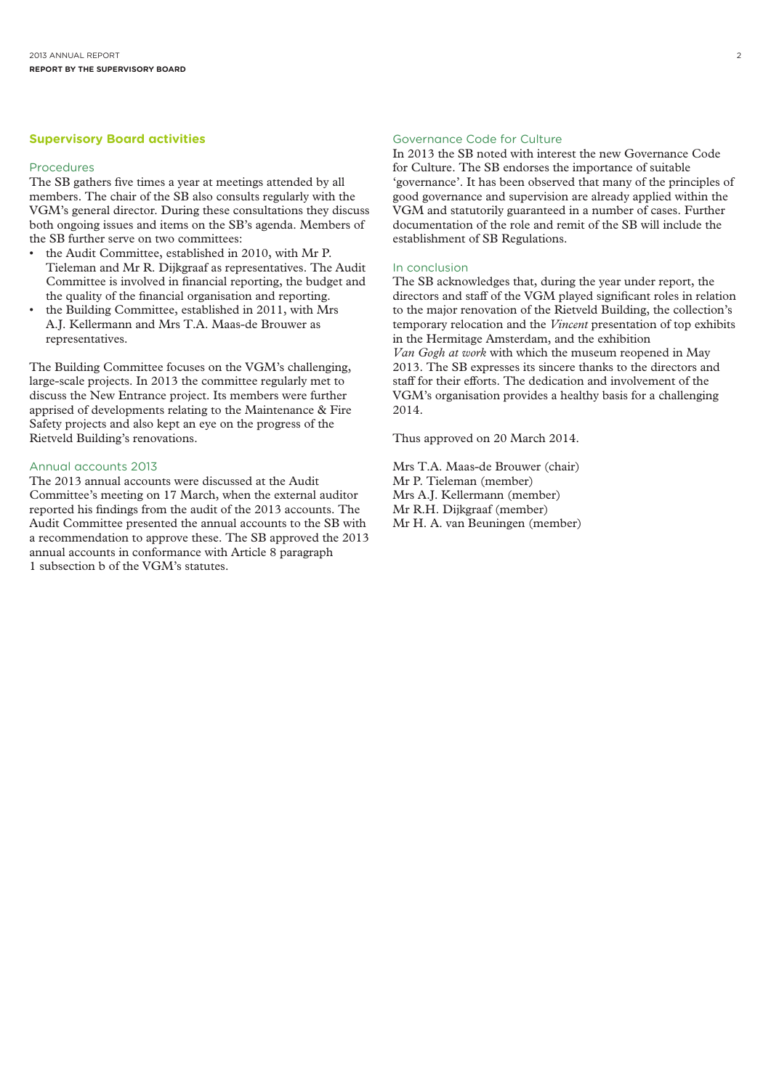# **Supervisory Board activities**

#### Procedures

The SB gathers five times a year at meetings attended by all members. The chair of the SB also consults regularly with the VGM's general director. During these consultations they discuss both ongoing issues and items on the SB's agenda. Members of the SB further serve on two committees:

- the Audit Committee, established in 2010, with Mr P. Tieleman and Mr R. Dijkgraaf as representatives. The Audit Committee is involved in financial reporting, the budget and the quality of the financial organisation and reporting.
- the Building Committee, established in 2011, with Mrs A.J. Kellermann and Mrs T.A. Maas-de Brouwer as representatives.

The Building Committee focuses on the VGM's challenging, large-scale projects. In 2013 the committee regularly met to discuss the New Entrance project. Its members were further apprised of developments relating to the Maintenance & Fire Safety projects and also kept an eye on the progress of the Rietveld Building's renovations.

# Annual accounts 2013

The 2013 annual accounts were discussed at the Audit Committee's meeting on 17 March, when the external auditor reported his findings from the audit of the 2013 accounts. The Audit Committee presented the annual accounts to the SB with a recommendation to approve these. The SB approved the 2013 annual accounts in conformance with Article 8 paragraph 1 subsection b of the VGM's statutes.

# Governance Code for Culture

In 2013 the SB noted with interest the new Governance Code for Culture. The SB endorses the importance of suitable 'governance'. It has been observed that many of the principles of good governance and supervision are already applied within the VGM and statutorily guaranteed in a number of cases. Further documentation of the role and remit of the SB will include the establishment of SB Regulations.

#### In conclusion

The SB acknowledges that, during the year under report, the directors and staff of the VGM played significant roles in relation to the major renovation of the Rietveld Building, the collection's temporary relocation and the *Vincent* presentation of top exhibits in the Hermitage Amsterdam, and the exhibition *Van Gogh at work* with which the museum reopened in May 2013. The SB expresses its sincere thanks to the directors and staff for their efforts. The dedication and involvement of the VGM's organisation provides a healthy basis for a challenging 2014.

Thus approved on 20 March 2014.

Mrs T.A. Maas-de Brouwer (chair) Mr P. Tieleman (member) Mrs A.J. Kellermann (member) Mr R.H. Dijkgraaf (member) Mr H. A. van Beuningen (member)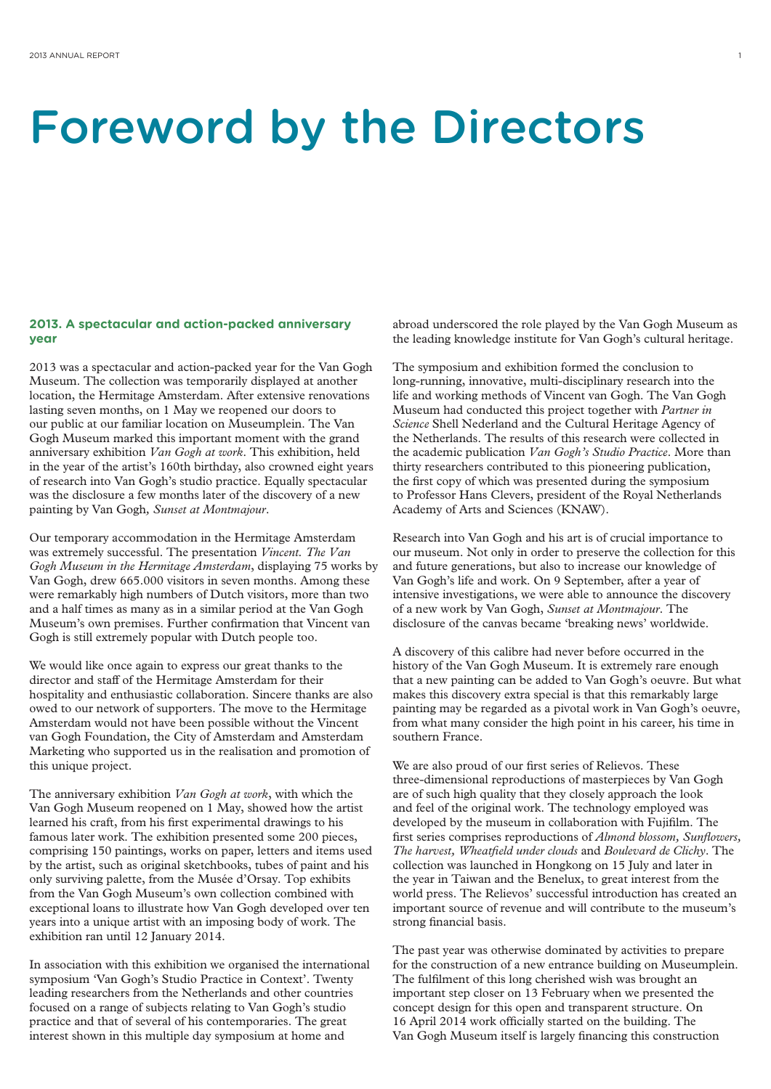# Foreword by the Directors

# **2013. A spectacular and action-packed anniversary year**

2013 was a spectacular and action-packed year for the Van Gogh Museum. The collection was temporarily displayed at another location, the Hermitage Amsterdam. After extensive renovations lasting seven months, on 1 May we reopened our doors to our public at our familiar location on Museumplein. The Van Gogh Museum marked this important moment with the grand anniversary exhibition *Van Gogh at work*. This exhibition, held in the year of the artist's 160th birthday, also crowned eight years of research into Van Gogh's studio practice. Equally spectacular was the disclosure a few months later of the discovery of a new painting by Van Gogh*, Sunset at Montmajour*.

Our temporary accommodation in the Hermitage Amsterdam was extremely successful. The presentation *Vincent. The Van Gogh Museum in the Hermitage Amsterdam*, displaying 75 works by Van Gogh, drew 665.000 visitors in seven months. Among these were remarkably high numbers of Dutch visitors, more than two and a half times as many as in a similar period at the Van Gogh Museum's own premises. Further confirmation that Vincent van Gogh is still extremely popular with Dutch people too.

We would like once again to express our great thanks to the director and staff of the Hermitage Amsterdam for their hospitality and enthusiastic collaboration. Sincere thanks are also owed to our network of supporters. The move to the Hermitage Amsterdam would not have been possible without the Vincent van Gogh Foundation, the City of Amsterdam and Amsterdam Marketing who supported us in the realisation and promotion of this unique project.

The anniversary exhibition *Van Gogh at work*, with which the Van Gogh Museum reopened on 1 May, showed how the artist learned his craft, from his first experimental drawings to his famous later work. The exhibition presented some 200 pieces, comprising 150 paintings, works on paper, letters and items used by the artist, such as original sketchbooks, tubes of paint and his only surviving palette, from the Musée d'Orsay. Top exhibits from the Van Gogh Museum's own collection combined with exceptional loans to illustrate how Van Gogh developed over ten years into a unique artist with an imposing body of work. The exhibition ran until 12 January 2014.

In association with this exhibition we organised the international symposium 'Van Gogh's Studio Practice in Context'. Twenty leading researchers from the Netherlands and other countries focused on a range of subjects relating to Van Gogh's studio practice and that of several of his contemporaries. The great interest shown in this multiple day symposium at home and

abroad underscored the role played by the Van Gogh Museum as the leading knowledge institute for Van Gogh's cultural heritage.

The symposium and exhibition formed the conclusion to long-running, innovative, multi-disciplinary research into the life and working methods of Vincent van Gogh. The Van Gogh Museum had conducted this project together with *Partner in Science* Shell Nederland and the Cultural Heritage Agency of the Netherlands. The results of this research were collected in the academic publication *Van Gogh's Studio Practice*. More than thirty researchers contributed to this pioneering publication, the first copy of which was presented during the symposium to Professor Hans Clevers, president of the Royal Netherlands Academy of Arts and Sciences (KNAW).

Research into Van Gogh and his art is of crucial importance to our museum. Not only in order to preserve the collection for this and future generations, but also to increase our knowledge of Van Gogh's life and work. On 9 September, after a year of intensive investigations, we were able to announce the discovery of a new work by Van Gogh, *Sunset at Montmajour*. The disclosure of the canvas became 'breaking news' worldwide.

A discovery of this calibre had never before occurred in the history of the Van Gogh Museum. It is extremely rare enough that a new painting can be added to Van Gogh's oeuvre. But what makes this discovery extra special is that this remarkably large painting may be regarded as a pivotal work in Van Gogh's oeuvre, from what many consider the high point in his career, his time in southern France.

We are also proud of our first series of Relievos. These three-dimensional reproductions of masterpieces by Van Gogh are of such high quality that they closely approach the look and feel of the original work. The technology employed was developed by the museum in collaboration with Fujifilm. The first series comprises reproductions of *Almond blossom, Sunflowers, The harvest, Wheatfield under clouds* and *Boulevard de Clichy*. The collection was launched in Hongkong on 15 July and later in the year in Taiwan and the Benelux, to great interest from the world press. The Relievos' successful introduction has created an important source of revenue and will contribute to the museum's strong financial basis.

The past year was otherwise dominated by activities to prepare for the construction of a new entrance building on Museumplein. The fulfilment of this long cherished wish was brought an important step closer on 13 February when we presented the concept design for this open and transparent structure. On 16 April 2014 work officially started on the building. The Van Gogh Museum itself is largely financing this construction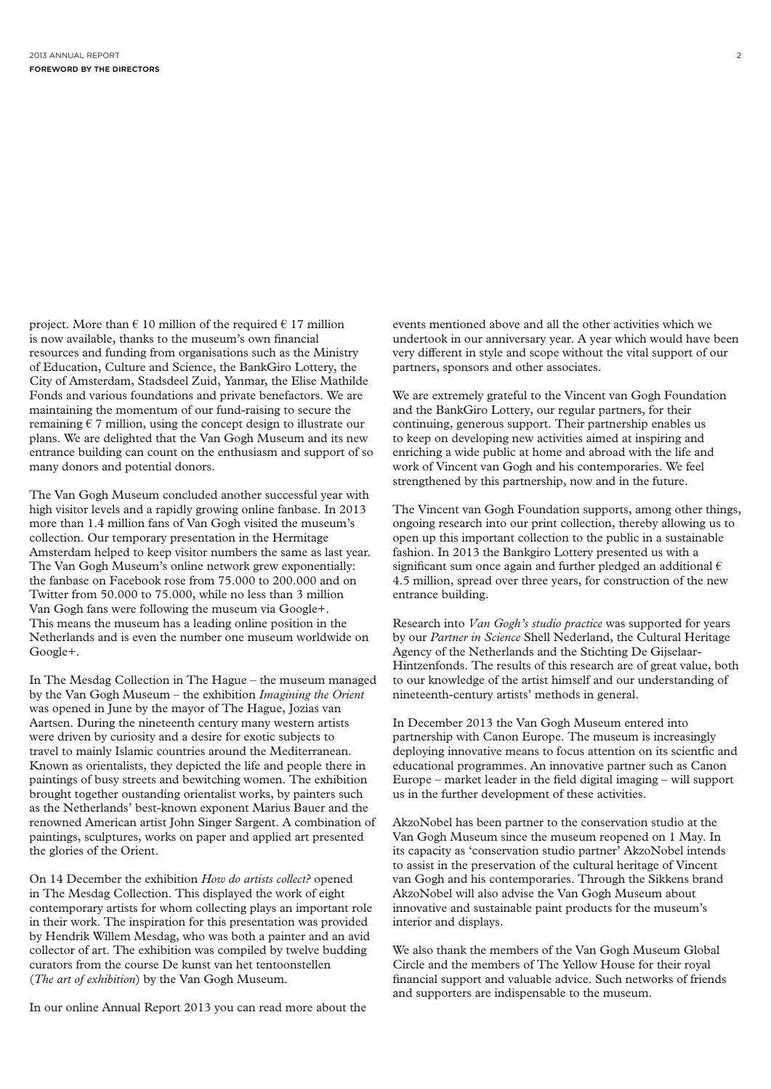project. More than  $\epsilon$  10 million of the required  $\epsilon$  17 million is now available, thanks to the museum's own financial resources and funding from organisations such as the Ministry of Education, Culture and Science, the BankGiro Lottery, the City of Amsterdam, Stadsdeel Zuid, Yanmar, the Elise Mathilde Fonds and various foundations and private benefactors. We are maintaining the momentum of our fund-raising to secure the remaining  $\epsilon$  7 million, using the concept design to illustrate our plans. We are delighted that the Van Gogh Museum and its new entrance building can count on the enthusiasm and support of so many donors and potential donors.

The Van Gogh Museum concluded another successful year with high visitor levels and a rapidly growing online fanbase. In 2013 more than 1.4 million fans of Van Gogh visited the museum's collection. Our temporary presentation in the Hermitage Amsterdam helped to keep visitor numbers the same as last year. The Van Gogh Museum's online network grew exponentially: the fanbase on Facebook rose from 75.000 to 200.000 and on Twitter from 50.000 to 75.000, while no less than 3 million Van Gogh fans were following the museum via Google+. This means the museum has a leading online position in the Netherlands and is even the number one museum worldwide on Google+.

In The Mesdag Collection in The Hague – the museum managed by the Van Gogh Museum – the exhibition *Imagining the Orient* was opened in June by the mayor of The Hague, Jozias van Aartsen. During the nineteenth century many western artists were driven by curiosity and a desire for exotic subjects to travel to mainly Islamic countries around the Mediterranean. Known as orientalists, they depicted the life and people there in paintings of busy streets and bewitching women. The exhibition brought together oustanding orientalist works, by painters such as the Netherlands' best-known exponent Marius Bauer and the renowned American artist John Singer Sargent. A combination of paintings, sculptures, works on paper and applied art presented the glories of the Orient.

On 14 December the exhibition *How do artists collect?* opened in The Mesdag Collection. This displayed the work of eight contemporary artists for whom collecting plays an important role in their work. The inspiration for this presentation was provided by Hendrik Willem Mesdag, who was both a painter and an avid collector of art. The exhibition was compiled by twelve budding curators from the course De kunst van het tentoonstellen (*The art of exhibition*) by the Van Gogh Museum.

In our online Annual Report 2013 you can read more about the

events mentioned above and all the other activities which we undertook in our anniversary year. A year which would have been very different in style and scope without the vital support of our partners, sponsors and other associates.

We are extremely grateful to the Vincent van Gogh Foundation and the BankGiro Lottery, our regular partners, for their continuing, generous support. Their partnership enables us to keep on developing new activities aimed at inspiring and enriching a wide public at home and abroad with the life and work of Vincent van Gogh and his contemporaries. We feel strengthened by this partnership, now and in the future.

The Vincent van Gogh Foundation supports, among other things, ongoing research into our print collection, thereby allowing us to open up this important collection to the public in a sustainable fashion. In 2013 the Bankgiro Lottery presented us with a significant sum once again and further pledged an additional  $\epsilon$ 4.5 million, spread over three years, for construction of the new entrance building.

Research into *Van Gogh's studio practice* was supported for years by our *Partner in Science* Shell Nederland, the Cultural Heritage Agency of the Netherlands and the Stichting De Gijselaar-Hintzenfonds. The results of this research are of great value, both to our knowledge of the artist himself and our understanding of nineteenth-century artists' methods in general.

In December 2013 the Van Gogh Museum entered into partnership with Canon Europe. The museum is increasingly deploying innovative means to focus attention on its scientfic and educational programmes. An innovative partner such as Canon Europe – market leader in the field digital imaging – will support us in the further development of these activities.

AkzoNobel has been partner to the conservation studio at the Van Gogh Museum since the museum reopened on 1 May. In its capacity as 'conservation studio partner' AkzoNobel intends to assist in the preservation of the cultural heritage of Vincent van Gogh and his contemporaries. Through the Sikkens brand AkzoNobel will also advise the Van Gogh Museum about innovative and sustainable paint products for the museum's interior and displays.

We also thank the members of the Van Gogh Museum Global Circle and the members of The Yellow House for their royal financial support and valuable advice. Such networks of friends and supporters are indispensable to the museum.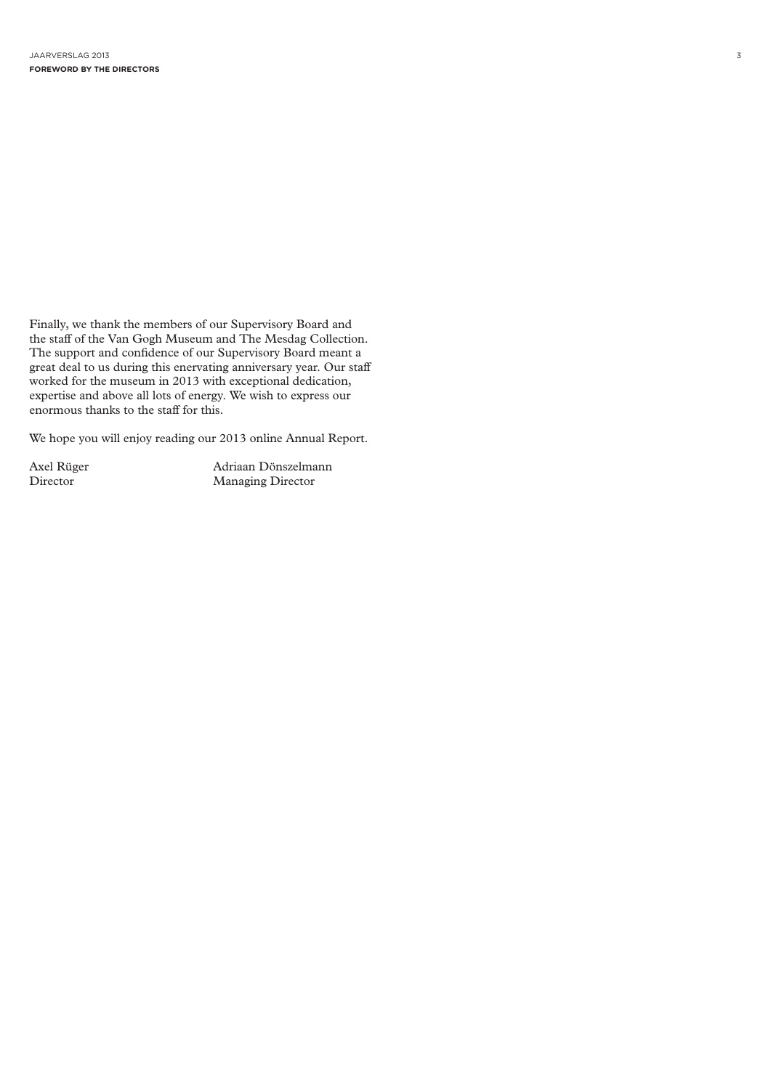Finally, we thank the members of our Supervisory Board and the staff of the Van Gogh Museum and The Mesdag Collection. The support and confidence of our Supervisory Board meant a great deal to us during this enervating anniversary year. Our staff worked for the museum in 2013 with exceptional dedication, expertise and above all lots of energy. We wish to express our enormous thanks to the staff for this.

We hope you will enjoy reading our 2013 online Annual Report.

Axel Rüger Adriaan Dönszelmann<br>Director Managing Director Director Managing Director